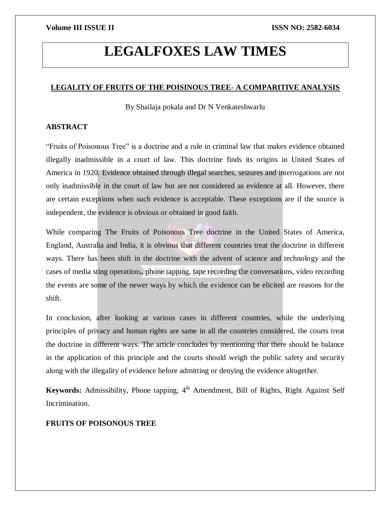# **LEGALFOXES LAW TIMES**

# **LEGALITY OF FRUITS OF THE POISINOUS TREE- A COMPARITIVE ANALYSIS**

By Shailaja pokala and Dr N Venkateshwarlu

# **ABSTRACT**

"Fruits of Poisonous Tree" is a doctrine and a rule in criminal law that makes evidence obtained illegally inadmissible in a court of law. This doctrine finds its origins in United States of America in 1920. Evidence obtained through illegal searches, seizures and interrogations are not only inadmissible in the court of law but are not considered as evidence at all. However, there are certain exceptions when such evidence is acceptable. These exceptions are if the source is independent, the evidence is obvious or obtained in good faith.

While comparing The Fruits of Poisonous Tree doctrine in the United States of America, England, Australia and India, it is obvious that different countries treat the doctrine in different ways. There has been shift in the doctrine with the advent of science and technology and the cases of media sting operations, phone tapping, tape recording the conversations, video recording the events are some of the newer ways by which the evidence can be elicited are reasons for the shift.

In conclusion, after looking at various cases in different countries, while the underlying principles of privacy and human rights are same in all the countries considered, the courts treat the doctrine in different ways. The article concludes by mentioning that there should be balance in the application of this principle and the courts should weigh the public safety and security along with the illegality of evidence before admitting or denying the evidence altogether.

**Keywords:** Admissibility, Phone tapping, 4<sup>th</sup> Amendment, Bill of Rights, Right Against Self Incrimination.

### **FRUITS OF POISONOUS TREE**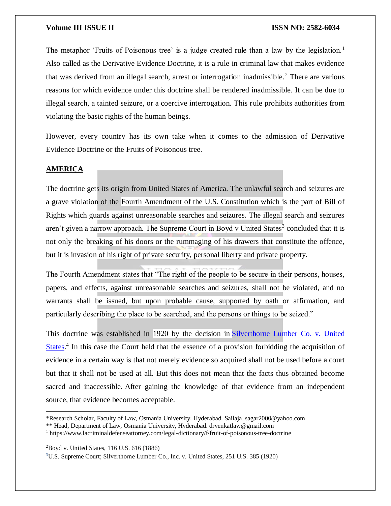The metaphor 'Fruits of Poisonous tree' is a judge created rule than a law by the legislation.<sup>1</sup> Also called as the Derivative Evidence Doctrine, it is a rule in criminal law that makes evidence that was derived from an illegal search, arrest or interrogation inadmissible.<sup>2</sup> There are various reasons for which evidence under this doctrine shall be rendered inadmissible. It can be due to illegal search, a tainted seizure, or a coercive interrogation. This rule prohibits authorities from violating the basic rights of the human beings.

However, every country has its own take when it comes to the admission of Derivative Evidence Doctrine or the Fruits of Poisonous tree.

### **AMERICA**

The doctrine gets its origin from United States of America. The unlawful search and seizures are a grave violation of the Fourth Amendment of the U.S. Constitution which is the part of Bill of Rights which guards against unreasonable searches and seizures. The illegal search and seizures aren't given a narrow approach. The Supreme Court in Boyd v United States<sup>3</sup> concluded that it is not only the breaking of his doors or the rummaging of his drawers that constitute the offence, but it is invasion of his right of private security, personal liberty and private property.

The Fourth Amendment states that "The right of the people to be secure in their persons, houses, papers, and effects, against unreasonable searches and seizures, shall not be violated, and no warrants shall be issued, but upon probable cause, supported by oath or affirmation, and particularly describing the place to be searched, and the persons or things to be seized."

This doctrine was established in 1920 by the decision in Silverthorne Lumber Co. v. United [States.](https://www.law.cornell.edu/supremecourt/text/251/385)<sup>4</sup> In this case the Court held that the essence of a provision forbidding the acquisition of evidence in a certain way is that not merely evidence so acquired shall not be used before a court but that it shall not be used at all. But this does not mean that the facts thus obtained become sacred and inaccessible. After gaining the knowledge of that evidence from an independent source, that evidence becomes acceptable.

<sup>2</sup>Boyd v. United States, 116 U.S. 616 (1886)

 $\overline{\phantom{a}}$ 

<sup>\*</sup>Research Scholar, Faculty of Law, Osmania University, Hyderabad. Sailaja\_sagar2000@yahoo.com

<sup>\*\*</sup> Head, Department of Law, Osmania University, Hyderabad. drvenkatlaw@gmail.com

<sup>1</sup> https://www.lacriminaldefenseattorney.com/legal-dictionary/f/fruit-of-poisonous-tree-doctrine

<sup>3</sup>U.S. Supreme Court; Silverthorne Lumber Co., Inc. v. United States, 251 U.S. 385 (1920)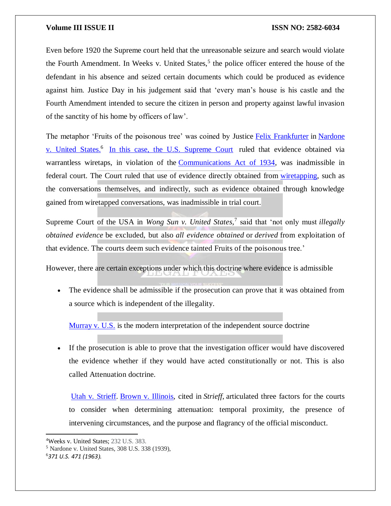Even before 1920 the Supreme court held that the unreasonable seizure and search would violate the Fourth Amendment. In Weeks v. United States,<sup>5</sup> the police officer entered the house of the defendant in his absence and seized certain documents which could be produced as evidence against him. Justice Day in his judgement said that 'every man's house is his castle and the Fourth Amendment intended to secure the citizen in person and property against lawful invasion of the sanctity of his home by officers of law'.

The metaphor 'Fruits of the poisonous tree' was coined by Justice [Felix Frankfurter](https://en.wikipedia.org/wiki/Felix_Frankfurter) in [Nardone](https://en.wikipedia.org/wiki/Nardone_v._United_States)  [v. United States.](https://en.wikipedia.org/wiki/Nardone_v._United_States)<sup>6</sup> [In this case, the U.S. Supreme Court](https://en.wikipedia.org/wiki/U.S._Supreme_Court) ruled that evidence obtained via warrantless wiretaps, in violation of the [Communications Act of 1934,](https://en.wikipedia.org/wiki/Communications_Act_of_1934) was inadmissible in federal court. The Court ruled that use of evidence directly obtained from [wiretapping,](https://en.wikipedia.org/wiki/Wiretapping) such as the conversations themselves, and indirectly, such as evidence obtained through knowledge gained from wiretapped conversations, was inadmissible in trial court.

Supreme Court of the USA in *Wong Sun v. United States*,<sup>7</sup> said that 'not only must *illegally obtained evidence* be excluded, but also *all evidence obtained* or *derived* from exploitation of that evidence. The courts deem such evidence tainted Fruits of the poisonous tree.'

However, there are certain exceptions under which this doctrine where evidence is admissible

 The evidence shall be admissible if the prosecution can prove that it was obtained from a source which is independent of the illegality.

[Murray v. U.S.](https://supreme.justia.com/cases/federal/us/487/533/) is the modern interpretation of the independent source doctrine

 If the prosecution is able to prove that the investigation officer would have discovered the evidence whether if they would have acted constitutionally or not. This is also called Attenuation doctrine.

[Utah v. Strieff.](https://www.law.cornell.edu/supremecourt/text/14-1373) [Brown v. Illinois,](https://www.law.cornell.edu/supremecourt/text/422/590) cited in *Strieff*, articulated three factors for the courts to consider when determining attenuation: temporal proximity, the presence of intervening circumstances, and the purpose and flagrancy of the official misconduct.

 $\overline{a}$ 

<sup>4</sup>Weeks v. United States; 232 U.S. 383.

<sup>5</sup> Nardone v. United States, 308 U.S. 338 (1939),

<sup>6</sup>*371 U.S. 471 (1963).*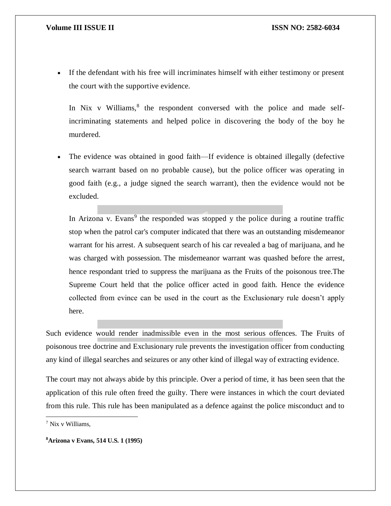If the defendant with his free will incriminates himself with either testimony or present the court with the supportive evidence.

In Nix v Williams,<sup>8</sup> the respondent conversed with the police and made selfincriminating statements and helped police in discovering the body of the boy he murdered.

 The evidence was obtained in good faith—If evidence is obtained illegally (defective search warrant based on no probable cause), but the police officer was operating in good faith (e.g., a judge signed the search warrant), then the evidence would not be excluded.

In Arizona v. Evans<sup>9</sup> the responded was stopped y the police during a routine traffic stop when the patrol car's computer indicated that there was an outstanding misdemeanor warrant for his arrest. A subsequent search of his car revealed a bag of marijuana, and he was charged with possession. The misdemeanor warrant was quashed before the arrest, hence respondant tried to suppress the marijuana as the Fruits of the poisonous tree.The Supreme Court held that the police officer acted in good faith. Hence the evidence collected from evince can be used in the court as the Exclusionary rule doesn't apply here.

Such evidence would render inadmissible even in the most serious offences. The Fruits of poisonous tree doctrine and Exclusionary rule prevents the investigation officer from conducting any kind of illegal searches and seizures or any other kind of illegal way of extracting evidence.

The court may not always abide by this principle. Over a period of time, it has been seen that the application of this rule often freed the guilty. There were instances in which the court deviated from this rule. This rule has been manipulated as a defence against the police misconduct and to

 $\overline{\phantom{a}}$ 

**<sup>8</sup>Arizona v Evans, 514 U.S. 1 (1995)**

<sup>7</sup> Nix v Williams,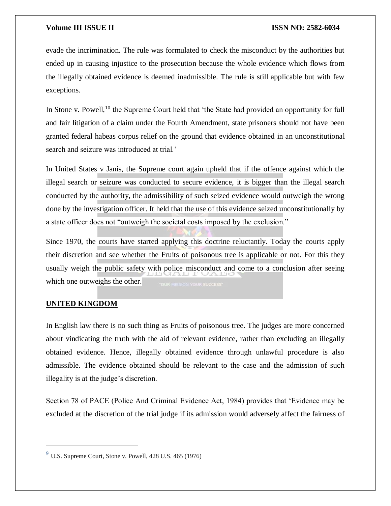evade the incrimination. The rule was formulated to check the misconduct by the authorities but ended up in causing injustice to the prosecution because the whole evidence which flows from the illegally obtained evidence is deemed inadmissible. The rule is still applicable but with few exceptions.

In Stone v. Powell,<sup>10</sup> the Supreme Court held that 'the State had provided an opportunity for full and fair litigation of a claim under the Fourth Amendment, state prisoners should not have been granted federal habeas corpus relief on the ground that evidence obtained in an unconstitutional search and seizure was introduced at trial.'

In United States v Janis, the Supreme court again upheld that if the offence against which the illegal search or seizure was conducted to secure evidence, it is bigger than the illegal search conducted by the authority, the admissibility of such seized evidence would outweigh the wrong done by the investigation officer. It held that the use of this evidence seized unconstitutionally by a state officer does not "outweigh the societal costs imposed by the exclusion."

Since 1970, the courts have started applying this doctrine reluctantly. Today the courts apply their discretion and see whether the Fruits of poisonous tree is applicable or not. For this they usually weigh the public safety with police misconduct and come to a conclusion after seeing which one outweighs the other.

# **UNITED KINGDOM**

 $\overline{\phantom{a}}$ 

In English law there is no such thing as Fruits of poisonous tree. The judges are more concerned about vindicating the truth with the aid of relevant evidence, rather than excluding an illegally obtained evidence. Hence, illegally obtained evidence through unlawful procedure is also admissible. The evidence obtained should be relevant to the case and the admission of such illegality is at the judge's discretion.

Section 78 of PACE (Police And Criminal Evidence Act, 1984) provides that 'Evidence may be excluded at the discretion of the trial judge if its admission would adversely affect the fairness of

 $9$  U.S. Supreme Court, Stone v. Powell, 428 U.S. 465 (1976)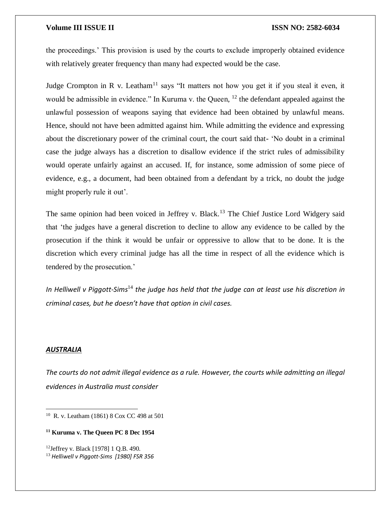the proceedings.' This provision is used by the courts to exclude improperly obtained evidence with relatively greater frequency than many had expected would be the case.

Judge Crompton in R v. Leatham<sup>11</sup> says "It matters not how you get it if you steal it even, it would be admissible in evidence." In Kuruma v. the Queen, <sup>12</sup> the defendant appealed against the unlawful possession of weapons saying that evidence had been obtained by unlawful means. Hence, should not have been admitted against him. While admitting the evidence and expressing about the discretionary power of the criminal court, the court said that- 'No doubt in a criminal case the judge always has a discretion to disallow evidence if the strict rules of admissibility would operate unfairly against an accused. If, for instance, some admission of some piece of evidence, e.g., a document, had been obtained from a defendant by a trick, no doubt the judge might properly rule it out'.

The same opinion had been voiced in Jeffrey v. Black.<sup>13</sup> The Chief Justice Lord Widgery said that 'the judges have a general discretion to decline to allow any evidence to be called by the prosecution if the think it would be unfair or oppressive to allow that to be done. It is the discretion which every criminal judge has all the time in respect of all the evidence which is tendered by the prosecution.'

*In Helliwell v Piggott-Sims*<sup>14</sup> *the judge has held that the judge can at least use his discretion in criminal cases, but he doesn't have that option in civil cases.*

### *AUSTRALIA*

 $\overline{a}$ 

*The courts do not admit illegal evidence as a rule. However, the courts while admitting an illegal evidences in Australia must consider*

<sup>10</sup> R. v. Leatham (1861) 8 Cox CC 498 at 501

**<sup>11</sup> Kuruma v. The Queen PC 8 Dec 1954**

<sup>12</sup>Jeffrey v. Black [1978] 1 Q.B. 490. <sup>13</sup> *Helliwell v Piggott-Sims [1980] FSR 356*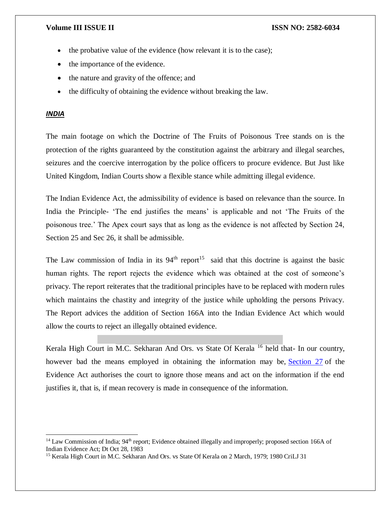- the probative value of the evidence (how relevant it is to the case);
- the importance of the evidence.
- the nature and gravity of the offence; and
- the difficulty of obtaining the evidence without breaking the law.

# *INDIA*

 $\overline{a}$ 

The main footage on which the Doctrine of The Fruits of Poisonous Tree stands on is the protection of the rights guaranteed by the constitution against the arbitrary and illegal searches, seizures and the coercive interrogation by the police officers to procure evidence. But Just like United Kingdom, Indian Courts show a flexible stance while admitting illegal evidence.

The Indian Evidence Act, the admissibility of evidence is based on relevance than the source. In India the Principle- 'The end justifies the means' is applicable and not 'The Fruits of the poisonous tree.' The Apex court says that as long as the evidence is not affected by Section 24, Section 25 and Sec 26, it shall be admissible.

The Law commission of India in its  $94<sup>th</sup>$  report<sup>15</sup> said that this doctrine is against the basic human rights. The report rejects the evidence which was obtained at the cost of someone's privacy. The report reiterates that the traditional principles have to be replaced with modern rules which maintains the chastity and integrity of the justice while upholding the persons Privacy. The Report advices the addition of Section 166A into the Indian Evidence Act which would allow the courts to reject an illegally obtained evidence.

Kerala High Court in M.C. Sekharan And Ors. vs State Of Kerala <sup>16</sup> held that- In our country, however bad the means employed in obtaining the information may be, [Section 27](https://indiankanoon.org/doc/1312051/) of the Evidence Act authorises the court to ignore those means and act on the information if the end justifies it, that is, if mean recovery is made in consequence of the information.

 $14$  Law Commission of India;  $94<sup>th</sup>$  report; Evidence obtained illegally and improperly; proposed section 166A of Indian Evidence Act; Dt Oct 28, 1983

<sup>&</sup>lt;sup>15</sup> Kerala High Court in M.C. Sekharan And Ors. vs State Of Kerala on 2 March, 1979; 1980 CriLJ 31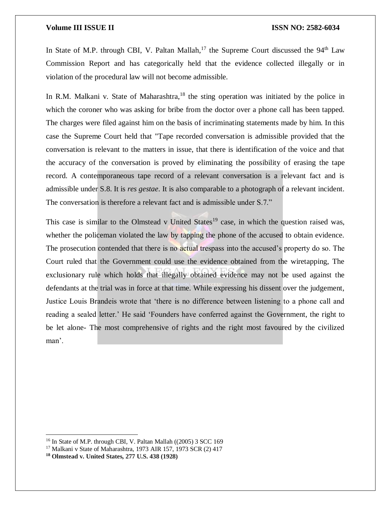In State of M.P. through CBI, V. Paltan Mallah,<sup>17</sup> the Supreme Court discussed the  $94<sup>th</sup>$  Law Commission Report and has categorically held that the evidence collected illegally or in violation of the procedural law will not become admissible.

In R.M. Malkani v. State of Maharashtra,  $18$  the sting operation was initiated by the police in which the coroner who was asking for bribe from the doctor over a phone call has been tapped. The charges were filed against him on the basis of incriminating statements made by him. In this case the Supreme Court held that "Tape recorded conversation is admissible provided that the conversation is relevant to the matters in issue, that there is identification of the voice and that the accuracy of the conversation is proved by eliminating the possibility of erasing the tape record. A contemporaneous tape record of a relevant conversation is a relevant fact and is admissible under S.8. It is *res gestae*. It is also comparable to a photograph of a relevant incident. The conversation is therefore a relevant fact and is admissible under S.7."

This case is similar to the Olmstead v United States<sup>19</sup> case, in which the question raised was, whether the policeman violated the law by tapping the phone of the accused to obtain evidence. The prosecution contended that there is no actual trespass into the accused's property do so. The Court ruled that the Government could use the evidence obtained from the wiretapping, The exclusionary rule which holds that illegally obtained evidence may not be used against the defendants at the trial was in force at that time. While expressing his dissent over the judgement, Justice Louis Brandeis wrote that 'there is no difference between listening to a phone call and reading a sealed letter.' He said 'Founders have conferred against the Government, the right to be let alone- The most comprehensive of rights and the right most favoured by the civilized man'.

 $\overline{a}$ 

<sup>&</sup>lt;sup>16</sup> In State of M.P. through CBI, V. Paltan Mallah ((2005) 3 SCC 169

<sup>17</sup> Malkani v State of Maharashtra, 1973 AIR 157, 1973 SCR (2) 417

**<sup>18</sup> Olmstead v. United States, 277 U.S. 438 (1928)**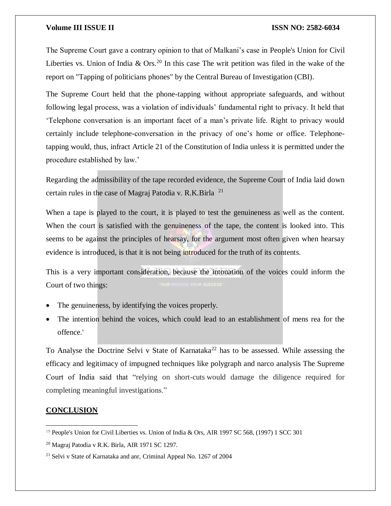The Supreme Court gave a contrary opinion to that of Malkani's case in People's Union for Civil Liberties vs. Union of India  $\&$  Ors.<sup>20</sup> In this case The writ petition was filed in the wake of the report on "Tapping of politicians phones" by the Central Bureau of Investigation (CBI).

The Supreme Court held that the phone-tapping without appropriate safeguards, and without following legal process, was a violation of individuals' fundamental right to privacy. It held that 'Telephone conversation is an important facet of a man's private life. Right to privacy would certainly include telephone-conversation in the privacy of one's home or office. Telephonetapping would, thus, infract Article 21 of the Constitution of India unless it is permitted under the procedure established by law.'

Regarding the admissibility of the tape recorded evidence, the Supreme Court of India laid down certain rules in the case of Magraj Patodia v. R.K.Birla  $^{21}$ 

When a tape is played to the court, it is played to test the genuineness as well as the content. When the court is satisfied with the genuineness of the tape, the content is looked into. This seems to be against the principles of hearsay, for the argument most often given when hearsay evidence is introduced, is that it is not being introduced for the truth of its contents.

This is a very important consideration, because the intonation of the voices could inform the Court of two things:

- The genuineness, by identifying the voices properly.
- The intention behind the voices, which could lead to an establishment of mens rea for the offence.'

To Analyse the Doctrine Selvi v State of Karnataka<sup>22</sup> has to be assessed. While assessing the efficacy and legitimacy of impugned techniques like polygraph and narco analysis The Supreme Court of India said that "relying on short-cuts would damage the diligence required for completing meaningful investigations."

### **CONCLUSION**

 $\overline{a}$ <sup>19</sup> People's Union for Civil Liberties vs. Union of India & Ors, AIR 1997 SC 568, (1997) 1 SCC 301

<sup>20</sup> Magraj Patodia v R.K. Birla, AIR 1971 SC 1297.

<sup>21</sup> Selvi v State of Karnataka and anr, Criminal Appeal No. 1267 of 2004